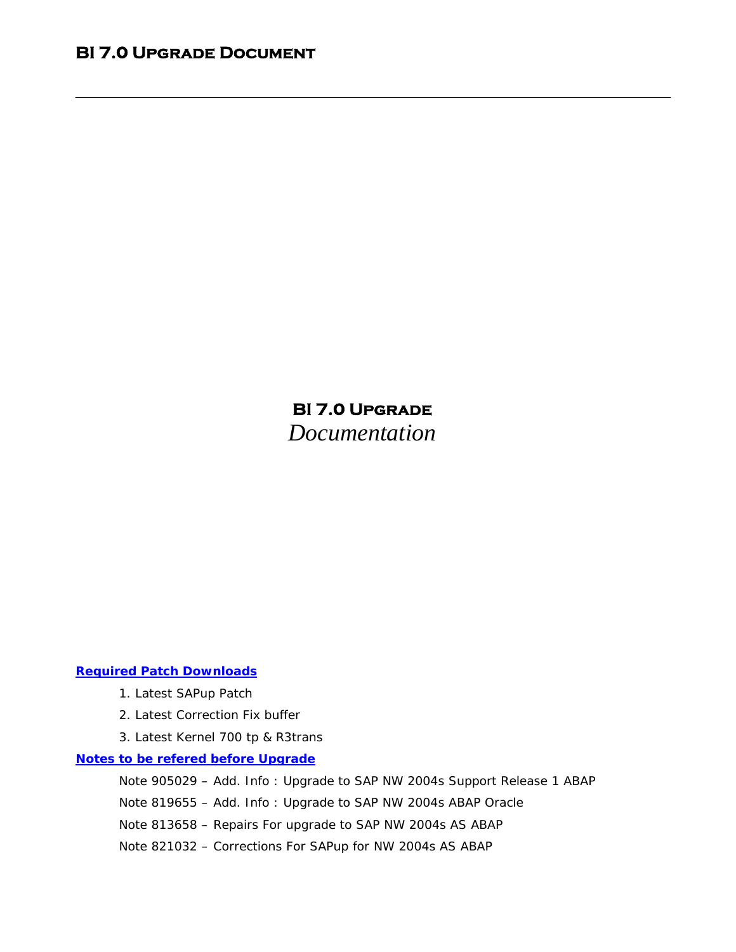### *Required Patch Downloads*

- 1. Latest SAPup Patch
- 2. Latest Correction Fix buffer
- 3. Latest Kernel 700 tp & R3trans

#### *Notes to be refered before Upgrade*

 Note 905029 – Add. Info : Upgrade to SAP NW 2004s Support Release 1 ABAP Note 819655 – Add. Info : Upgrade to SAP NW 2004s ABAP Oracle Note 813658 – Repairs For upgrade to SAP NW 2004s AS ABAP

Note 821032 – Corrections For SAPup for NW 2004s AS ABAP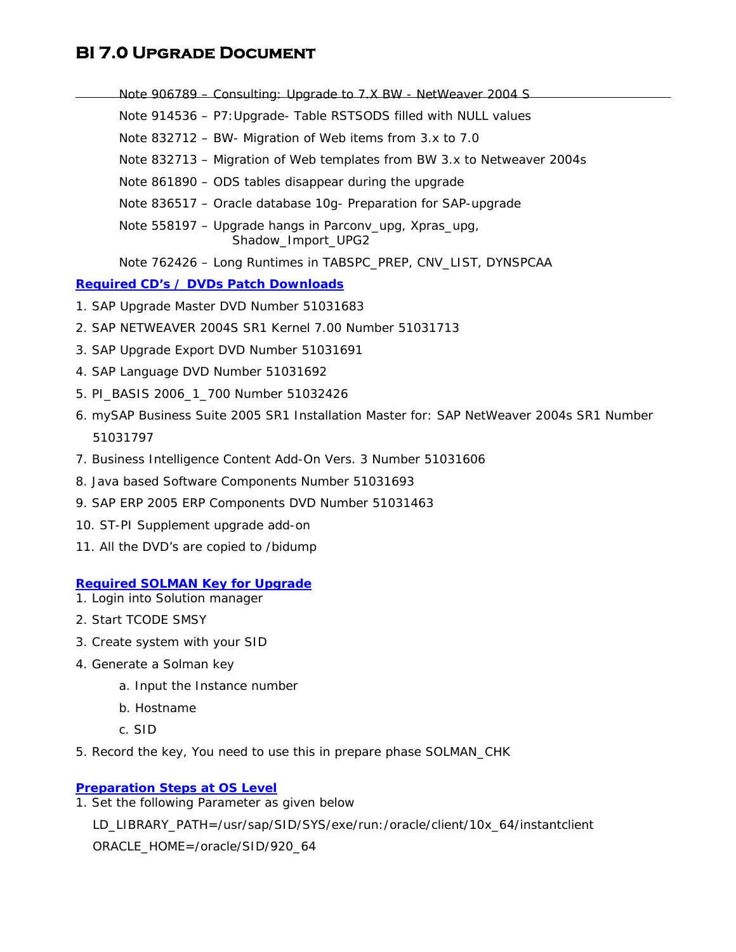Note 906789 – Consulting: Upgrade to 7.X BW - NetWeaver 2004 S Note 914536 – P7:Upgrade- Table RSTSODS filled with NULL values Note 832712 – BW- Migration of Web items from 3.x to 7.0 Note 832713 – Migration of Web templates from BW 3.x to Netweaver 2004s Note 861890 – ODS tables disappear during the upgrade Note 836517 – Oracle database 10g- Preparation for SAP-upgrade Note 558197 – Upgrade hangs in Parconv\_upg, Xpras\_upg, Shadow Import UPG2 Note 762426 – Long Runtimes in TABSPC\_PREP, CNV\_LIST, DYNSPCAA

### *Required CD's / DVDs Patch Downloads*

- 1. SAP Upgrade Master DVD Number 51031683
- 2. SAP NETWEAVER 2004S SR1 Kernel 7.00 Number 51031713
- 3. SAP Upgrade Export DVD Number 51031691
- 4. SAP Language DVD Number 51031692
- 5. PI\_BASIS 2006\_1\_700 Number 51032426
- 6. mySAP Business Suite 2005 SR1 Installation Master for: SAP NetWeaver 2004s SR1 Number 51031797
- 7. Business Intelligence Content Add-On Vers. 3 Number 51031606
- 8. Java based Software Components Number 51031693
- 9. SAP ERP 2005 ERP Components DVD Number 51031463
- 10. ST-PI Supplement upgrade add-on
- 11. All the DVD's are copied to /bidump

#### *Required SOLMAN Key for Upgrade*

- 1. Login into Solution manager
- 2. Start TCODE SMSY
- 3. Create system with your SID
- 4. Generate a Solman key
	- a. Input the Instance number
	- b. Hostname
	- c. SID
- 5. Record the key, You need to use this in prepare phase SOLMAN\_CHK

### *Preparation Steps at OS Level*

1. Set the following Parameter as given below

LD\_LIBRARY\_PATH=/usr/sap/SID/SYS/exe/run:/oracle/client/10x\_64/instantclient

ORACLE\_HOME=/oracle/SID/920\_64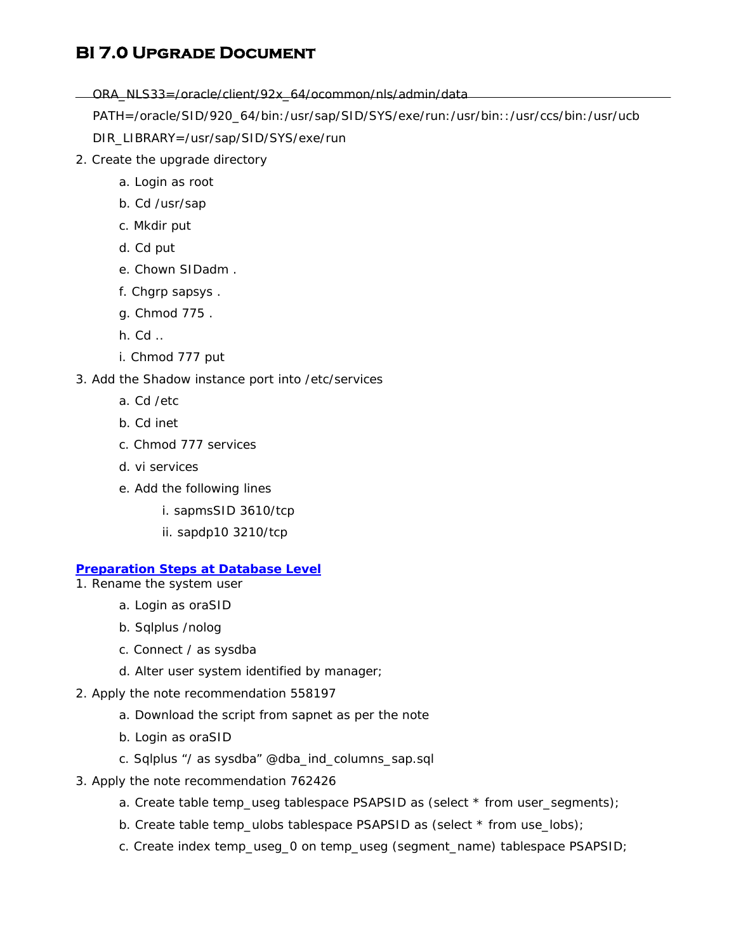ORA\_NLS33=/oracle/client/92x\_64/ocommon/nls/admin/data

PATH=/oracle/SID/920\_64/bin:/usr/sap/SID/SYS/exe/run:/usr/bin::/usr/ccs/bin:/usr/ucb

DIR\_LIBRARY=/usr/sap/SID/SYS/exe/run

- 2. Create the upgrade directory
	- a. Login as root
	- b. Cd /usr/sap
	- c. Mkdir put
	- d. Cd put
	- e. Chown SIDadm .
	- f. Chgrp sapsys .
	- g. Chmod 775 .
	- h. Cd ..
	- i. Chmod 777 put

#### 3. Add the Shadow instance port into /etc/services

- a. Cd /etc
- b. Cd inet
- c. Chmod 777 services
- d. vi services
- e. Add the following lines
	- i. sapmsSID 3610/tcp
	- ii. sapdp10 3210/tcp

### *Preparation Steps at Database Level*

- 1. Rename the system user
	- a. Login as oraSID
	- b. Sqlplus /nolog
	- c. Connect / as sysdba
	- d. Alter user system identified by manager;
- 2. Apply the note recommendation 558197
	- a. Download the script from sapnet as per the note
	- b. Login as oraSID
	- c. Sqlplus "/ as sysdba" @dba\_ind\_columns\_sap.sql
- 3. Apply the note recommendation 762426
	- a. Create table temp\_useg tablespace PSAPSID as (select \* from user\_segments);
	- b. Create table temp\_ulobs tablespace PSAPSID as (select \* from use\_lobs);
	- c. Create index temp\_useg\_0 on temp\_useg (segment\_name) tablespace PSAPSID;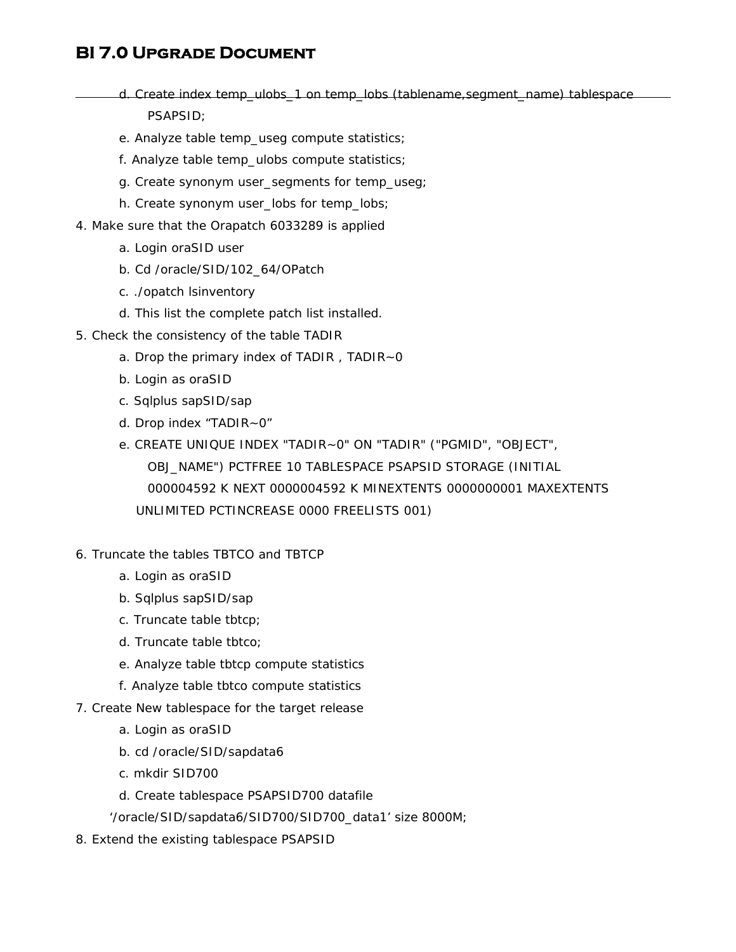- d. Create index temp\_ulobs\_1 on temp\_lobs (tablename,segment\_name) tablespace PSAPSID;
- e. Analyze table temp\_useg compute statistics;
- f. Analyze table temp\_ulobs compute statistics;
- g. Create synonym user\_segments for temp\_useg;
- h. Create synonym user\_lobs for temp\_lobs;
- 4. Make sure that the Orapatch 6033289 is applied
	- a. Login oraSID user
	- b. Cd /oracle/SID/102\_64/OPatch
	- c. ./opatch lsinventory
	- d. This list the complete patch list installed.
- 5. Check the consistency of the table TADIR
	- a. Drop the primary index of TADIR , TADIR~0
	- b. Login as oraSID
	- c. Sqlplus sapSID/sap
	- d. Drop index "TADIR~0"
	- e. CREATE UNIQUE INDEX "TADIR~0" ON "TADIR" ("PGMID", "OBJECT", OBJ\_NAME") PCTFREE 10 TABLESPACE PSAPSID STORAGE (INITIAL 000004592 K NEXT 0000004592 K MINEXTENTS 0000000001 MAXEXTENTS UNLIMITED PCTINCREASE 0000 FREELISTS 001)
- 6. Truncate the tables TBTCO and TBTCP
	- a. Login as oraSID
	- b. Sqlplus sapSID/sap
	- c. Truncate table tbtcp;
	- d. Truncate table tbtco;
	- e. Analyze table tbtcp compute statistics
	- f. Analyze table tbtco compute statistics
- 7. Create New tablespace for the target release
	- a. Login as oraSID
	- b. cd /oracle/SID/sapdata6
	- c. mkdir SID700
	- d. Create tablespace PSAPSID700 datafile
	- '/oracle/SID/sapdata6/SID700/SID700\_data1' size 8000M;
- 8. Extend the existing tablespace PSAPSID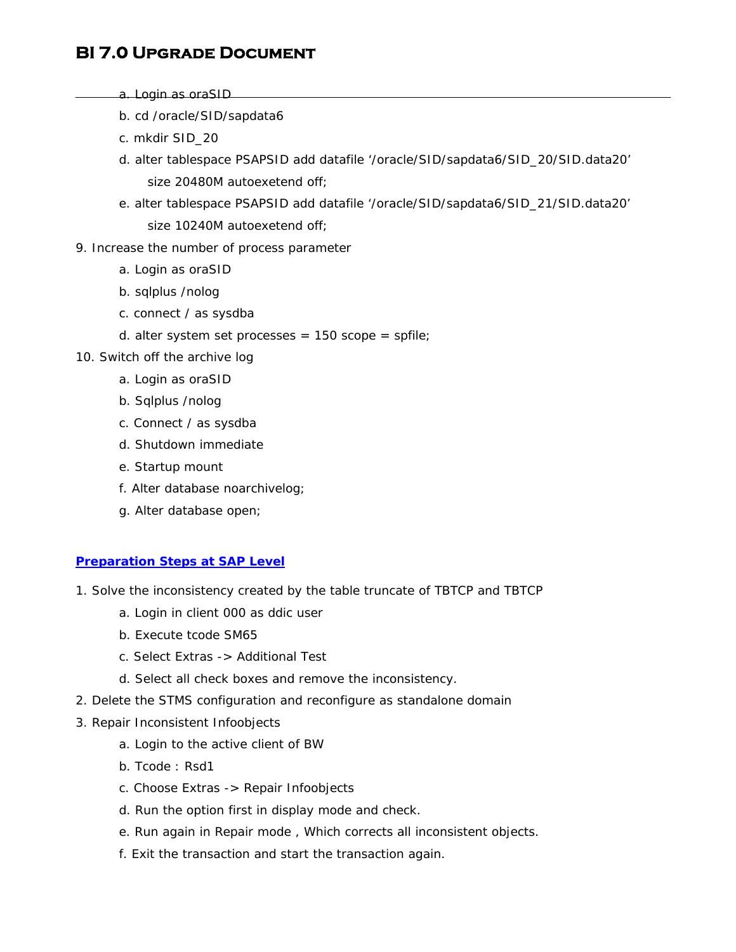- a. Login as oraSID
- b. cd /oracle/SID/sapdata6
- c. mkdir SID\_20
- d. alter tablespace PSAPSID add datafile '/oracle/SID/sapdata6/SID\_20/SID.data20' size 20480M autoexetend off;
- e. alter tablespace PSAPSID add datafile '/oracle/SID/sapdata6/SID\_21/SID.data20' size 10240M autoexetend off;
- 9. Increase the number of process parameter
	- a. Login as oraSID
	- b. sqlplus /nolog
	- c. connect / as sysdba
	- d. alter system set processes =  $150$  scope = spfile;
- 10. Switch off the archive log
	- a. Login as oraSID
	- b. Sqlplus /nolog
	- c. Connect / as sysdba
	- d. Shutdown immediate
	- e. Startup mount
	- f. Alter database noarchivelog;
	- g. Alter database open;

### *Preparation Steps at SAP Level*

- 1. Solve the inconsistency created by the table truncate of TBTCP and TBTCP
	- a. Login in client 000 as ddic user
	- b. Execute tcode SM65
	- c. Select Extras -> Additional Test
	- d. Select all check boxes and remove the inconsistency.
- 2. Delete the STMS configuration and reconfigure as standalone domain
- 3. Repair Inconsistent Infoobjects
	- a. Login to the active client of BW
	- b. Tcode : Rsd1
	- c. Choose Extras -> Repair Infoobjects
	- d. Run the option first in display mode and check.
	- e. Run again in Repair mode , Which corrects all inconsistent objects.
	- f. Exit the transaction and start the transaction again.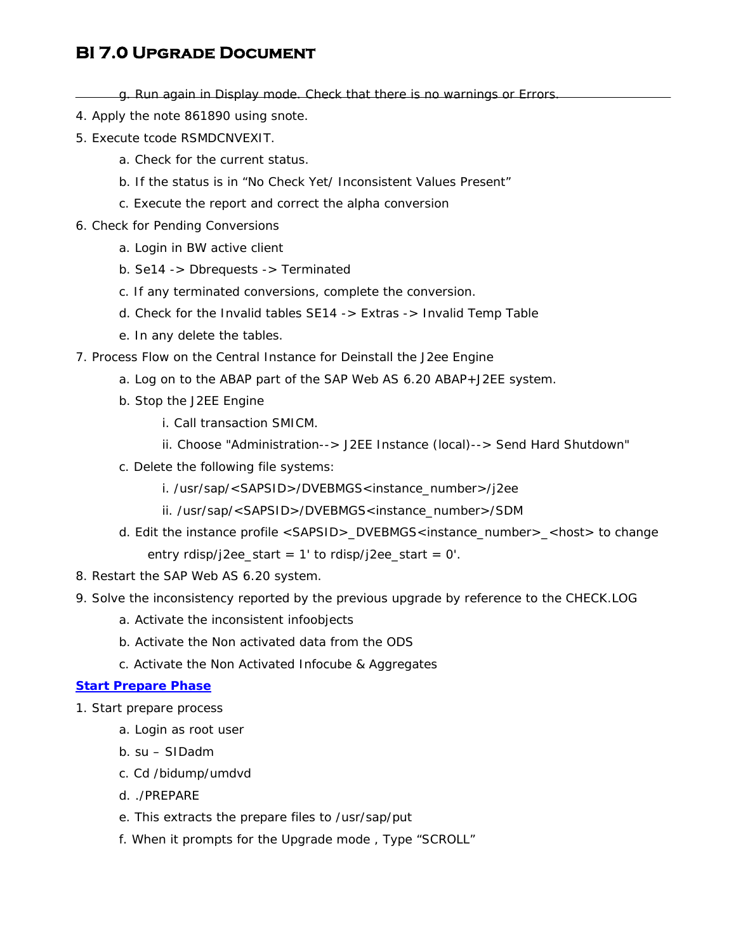g. Run again in Display mode. Check that there is no warnings or Errors.

- 4. Apply the note 861890 using snote.
- 5. Execute tcode RSMDCNVEXIT.
	- a. Check for the current status.
	- b. If the status is in "*No Check Yet/ Inconsistent Values Present"*
	- c. Execute the report and correct the alpha conversion
- 6. Check for Pending Conversions
	- a. Login in BW active client
	- b. Se14 -> Dbrequests -> Terminated
	- c. If any terminated conversions, complete the conversion.
	- d. Check for the Invalid tables SE14 -> Extras -> Invalid Temp Table
	- e. In any delete the tables.
- 7. Process Flow on the Central Instance for Deinstall the J2ee Engine
	- a. Log on to the ABAP part of the SAP Web AS 6.20 ABAP+J2EE system.
	- b. Stop the J2EE Engine
		- i. Call transaction SMICM.
		- ii. Choose "Administration--> J2EE Instance (local)--> Send Hard Shutdown"
	- c. Delete the following file systems:
		- i. /usr/sap/<SAPSID>/DVEBMGS<instance\_number>/j2ee
		- ii. /usr/sap/<SAPSID>/DVEBMGS<instance\_number>/SDM
	- d. Edit the instance profile <SAPSID>\_DVEBMGS<instance\_number>\_<host> to change entry rdisp/j2ee\_start =  $1'$  to rdisp/j2ee\_start =  $0'.$
- 8. Restart the SAP Web AS 6.20 system.
- 9. Solve the inconsistency reported by the previous upgrade by reference to the CHECK.LOG
	- a. Activate the inconsistent infoobjects
	- b. Activate the Non activated data from the ODS
	- c. Activate the Non Activated Infocube & Aggregates

### *Start Prepare Phase*

- 1. Start prepare process
	- a. Login as root user
	- b. su SIDadm
	- c. Cd /bidump/umdvd
	- d. ./PREPARE
	- e. This extracts the prepare files to /usr/sap/put
	- f. When it prompts for the Upgrade mode , Type "SCROLL"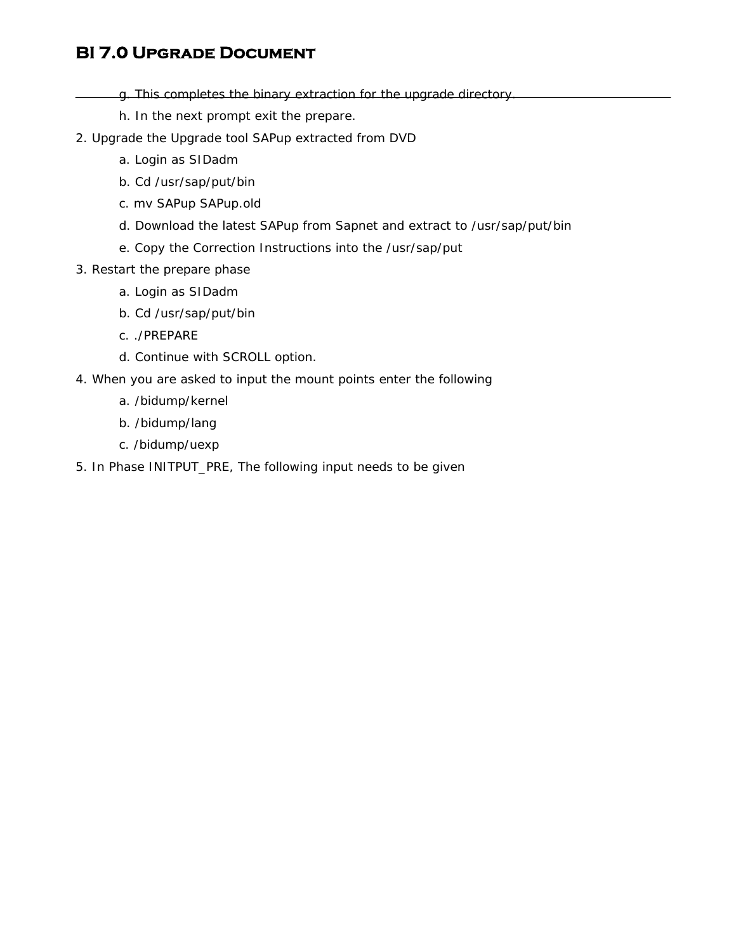- g. This completes the binary extraction for the upgrade directory.
	- h. In the next prompt exit the prepare.
- 2. Upgrade the Upgrade tool SAPup extracted from DVD
	- a. Login as SIDadm
	- b. Cd /usr/sap/put/bin
	- c. mv SAPup SAPup.old
	- d. Download the latest SAPup from Sapnet and extract to /usr/sap/put/bin
	- e. Copy the Correction Instructions into the /usr/sap/put
- 3. Restart the prepare phase
	- a. Login as SIDadm
	- b. Cd /usr/sap/put/bin
	- c. ./PREPARE
	- d. Continue with SCROLL option.
- 4. When you are asked to input the mount points enter the following
	- a. /bidump/kernel
	- b. /bidump/lang
	- c. /bidump/uexp
- 5. In Phase INITPUT\_PRE, The following input needs to be given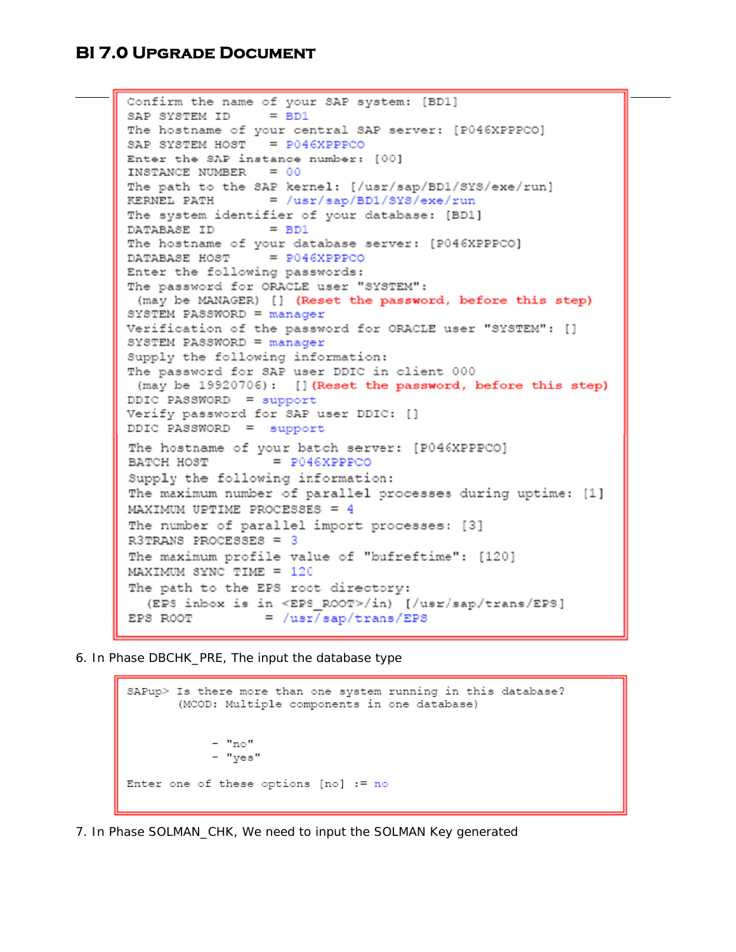```
Confirm the name of your SAP system: [BD1]
SAP SYSTEM ID = BD1
The hostname of your central SAP server: [P046XPPPCO]
SAP SYSTEM HOST = P046XPPPCOEnter the SAP instance number: [00]
INSTANCE NUMBER = 00The path to the SAP kernel: [/usr/sap/BD1/SYS/exe/run]
KERNEL PATH = /usr/sap/BD1/SYS/exe/run
The system identifier of your database: [BD1]
DATABASE ID = BD1
The hostname of your database server: [P046XPPPCO]
DATABASE HOST = P046XPPPCO
Enter the following passwords:
The password for ORACLE user "SYSTEM":
 (may be MANAGER) [] (Reset the password, before this step)
SYSTEM PASSWORD = manager
Verification of the password for ORACLE user "SYSTEM": []
SYSTEM PASSWORD = manager
Supply the following information:
The password for SAP user DDIC in client 000
(may be 19920706): [] (Reset the password, before this step)
DDIC PASSWORD = supportVerify password for SAP user DDIC: []
DDIC PASSWORD = support
The hostname of your batch server: [P046XPPPCO]
BATCH HOST
                 = P046XPPPCO
Supply the following information:
The maximum number of parallel processes during uptime: [1]
MAXIMUM UPTIME PROCESSES = 4
The number of parallel import processes: [3]
R3TRANS PROCESSES = 3
The maximum profile value of "bufreftime": [120]
MAXIMUM SYNC TIME = 120
The path to the EPS root directory:
  (EPS inbox is in <EPS ROOT>/in) [/usr/sap/trans/EPS]
EPS ROOT
                = /usr/sap/trans/EPS
```
6. In Phase DBCHK\_PRE, The input the database type

```
SAPup> Is there more than one system running in this database?
       (MCOD: Multiple components in one database)
            - "no"
            - "yes"
Enter one of these options [no] := no
```
7. In Phase SOLMAN\_CHK, We need to input the SOLMAN Key generated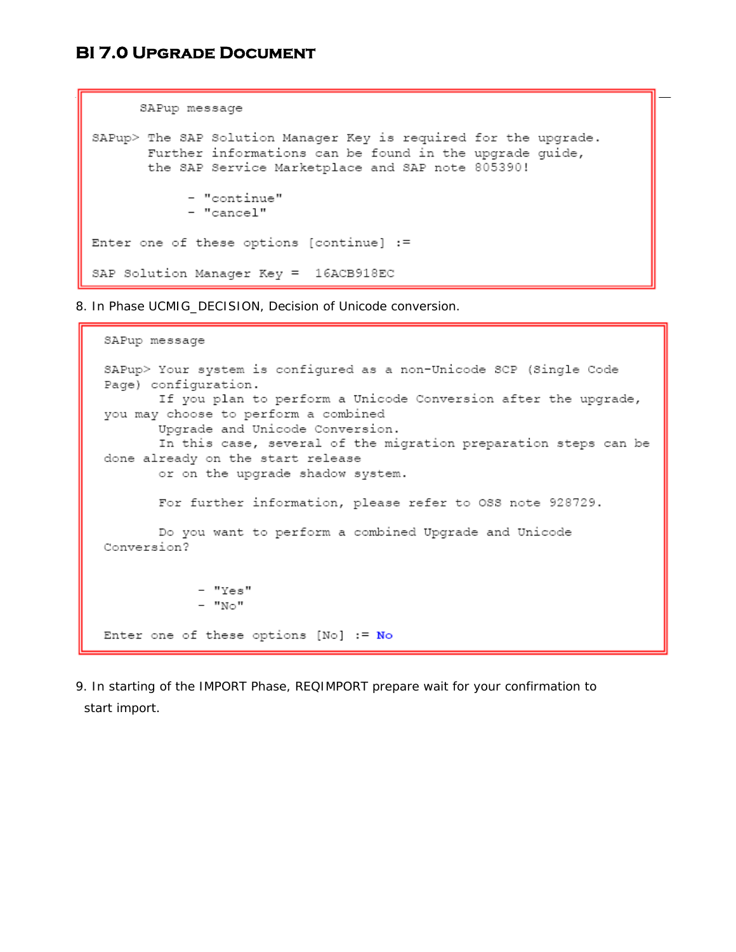```
SAPup message
SAPup> The SAP Solution Manager Key is required for the upgrade.
      Further informations can be found in the upgrade quide,
      the SAP Service Marketplace and SAP note 805390!
            - "continue"
            - "cancel"
Enter one of these options [continue] :=
SAP Solution Manager Key = 16ACB918EC
```
8. In Phase UCMIG DECISION, Decision of Unicode conversion.

```
SAPup message
SAPup> Your system is configured as a non-Unicode SCP (Single Code
Page) configuration.
       If you plan to perform a Unicode Conversion after the upgrade,
you may choose to perform a combined
       Upgrade and Unicode Conversion.
       In this case, several of the migration preparation steps can be
done already on the start release
       or on the upgrade shadow system.
       For further information, please refer to OSS note 928729.
       Do you want to perform a combined Upgrade and Unicode
Conversion?
            - "Yes"
            - "No"
Enter one of these options [No] := No
```
9. In starting of the IMPORT Phase, REQIMPORT prepare wait for your confirmation to start import.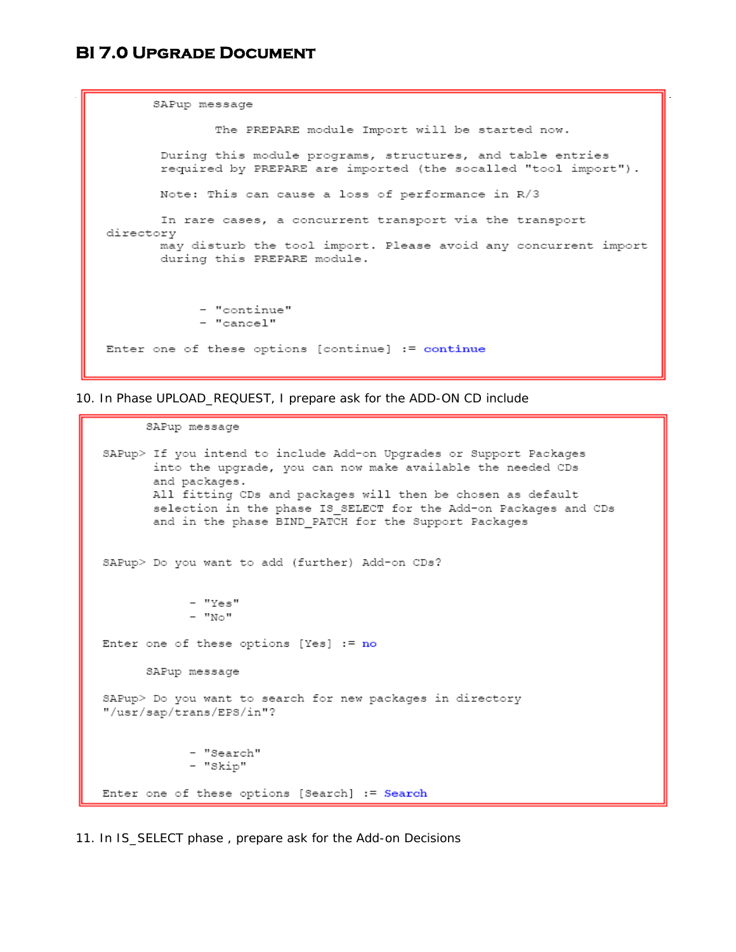```
SAPup message
              The PREPARE module Import will be started now.
       During this module programs, structures, and table entries
       required by PREPARE are imported (the socalled "tool import").
      Note: This can cause a loss of performance in R/3
      In rare cases, a concurrent transport via the transport
directory
      may disturb the tool import. Please avoid any concurrent import
      during this PREPARE module.
            - "continue"
            - "cancel"
Enter one of these options [continue] := continue
```
10. In Phase UPLOAD\_REQUEST, I prepare ask for the ADD-ON CD include

```
SAPup message
SAPup> If you intend to include Add-on Upgrades or Support Packages
       into the upgrade, you can now make available the needed CDs
       and packages.
       All fitting CDs and packages will then be chosen as default
       selection in the phase IS SELECT for the Add-on Packages and CDs
       and in the phase BIND PATCH for the Support Packages
SAPup> Do you want to add (further) Add-on CDs?
            - "Yes"
            - "No"
Enter one of these options [Yes] := noSAPup message
SAPup> Do you want to search for new packages in directory
"/usr/sap/trans/EPS/in"?
            - "Search"
            - "Skip"
Enter one of these options [Search] := Search
```
11. In IS\_SELECT phase , prepare ask for the Add-on Decisions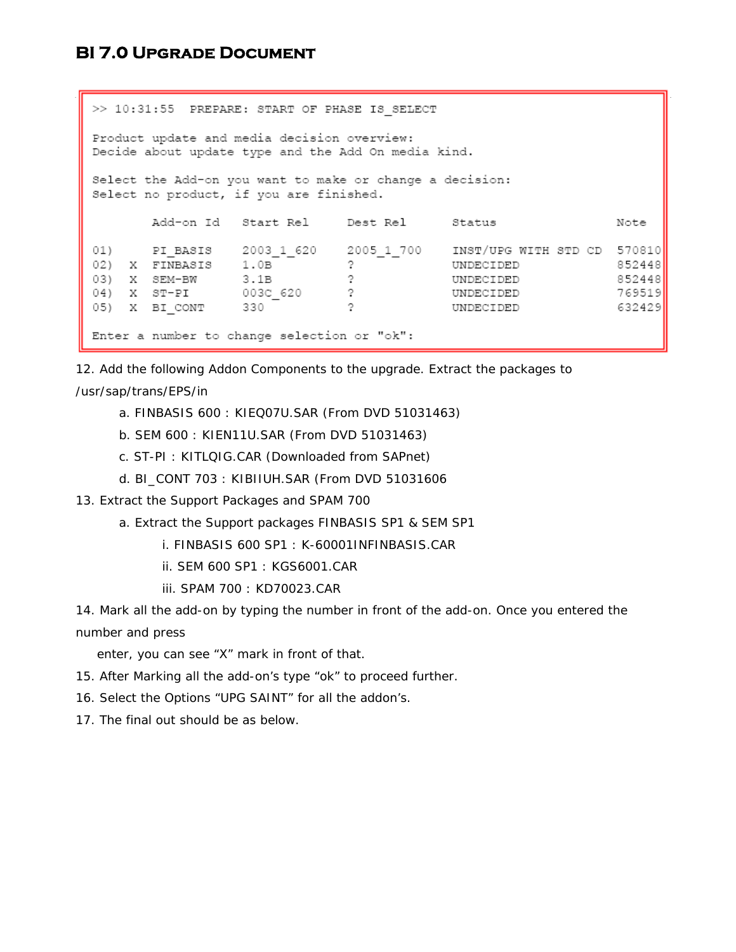>> 10:31:55 PREPARE: START OF PHASE IS SELECT Product update and media decision overview: Decide about update type and the Add On media kind. Select the Add-on you want to make or change a decision: Select no product, if you are finished. Add-on Id Start Rel Dest Rel Status Note 01) PI\_BASIS  $2003\_1\_620$   $2005\_1\_700$  INST/UPG WITH STD CD 570810 01) FI\_BASIS 2003\_1\_620 200<br>
02) X FINBASIS 1.0B ?<br>
03) X SEM-BW 3.1B ?<br>
04) X ST-PI 003C\_620 ?<br>
05) X BI\_CONT 330 ? UNDECIDED 852448 UNDECIDED 852448 UNDECIDED 769519 UNDECIDED 632429 Enter a number to change selection or "ok":

12. Add the following Addon Components to the upgrade. Extract the packages to

### /usr/sap/trans/EPS/in

- a. FINBASIS 600 : KIEQ07U.SAR (From DVD 51031463)
- b. SEM 600 : KIEN11U.SAR (From DVD 51031463)
- c. ST-PI : KITLQIG.CAR (Downloaded from SAPnet)
- d. BI\_CONT 703 : KIBIIUH.SAR (From DVD 51031606
- 13. Extract the Support Packages and SPAM 700
	- a. Extract the Support packages FINBASIS SP1 & SEM SP1
		- i. FINBASIS 600 SP1 : K-60001INFINBASIS.CAR
		- ii. SEM 600 SP1 : KGS6001.CAR
		- iii. SPAM 700 : KD70023.CAR

14. Mark all the add-on by typing the number in front of the add-on. Once you entered the number and press

enter, you can see "X" mark in front of that.

- 15. After Marking all the add-on's type "ok" to proceed further.
- 16. Select the Options "UPG SAINT" for all the addon's.
- 17. The final out should be as below.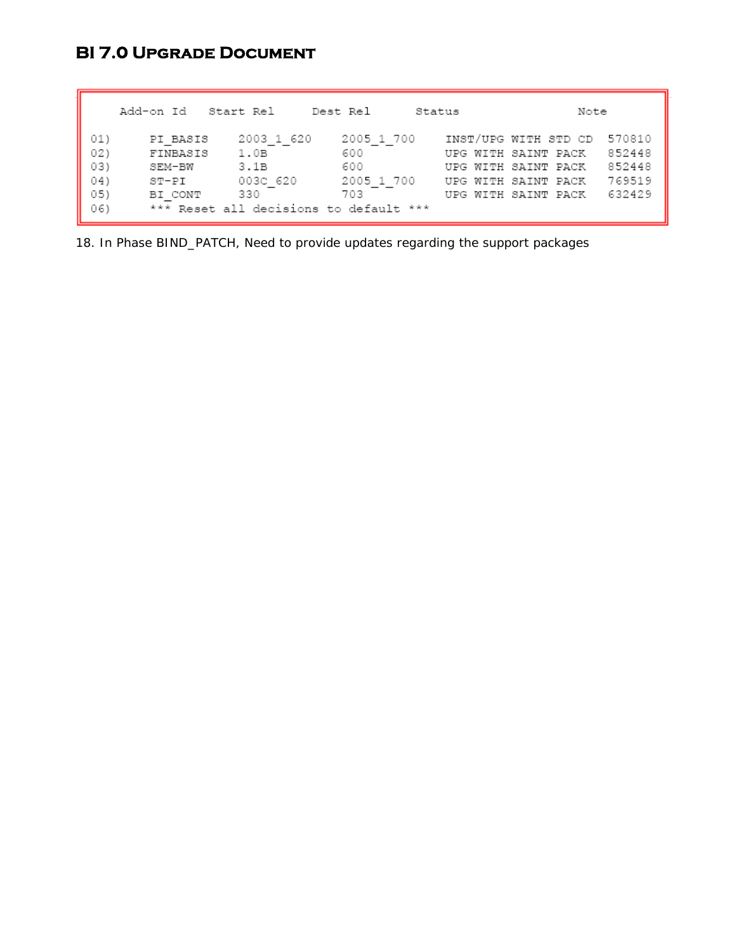Add-on Id Start Rel Dest Rel Status Note PI\_BASIS 2003\_1\_620 2005\_1\_700 INST/UPG\_WITH\_STD\_CD\_570810<br>
FINBASIS 1.0B 600 UPG\_WITH\_SAINT\_PACK\_\_852448<br>
SEM-BW 3.1B 600 UPG\_WITH\_SAINT\_PACK\_\_852448<br>
ST-PI 003C\_620 2005\_1\_700 UPG\_WITH\_SAINT\_PACK\_\_769519<br>
BI\_CONT\_\_\_\_\_330 01)  $02)$ 03) 04) 05) \*\*\* Reset all decisions to default \*\*\* 06)

18. In Phase BIND\_PATCH, Need to provide updates regarding the support packages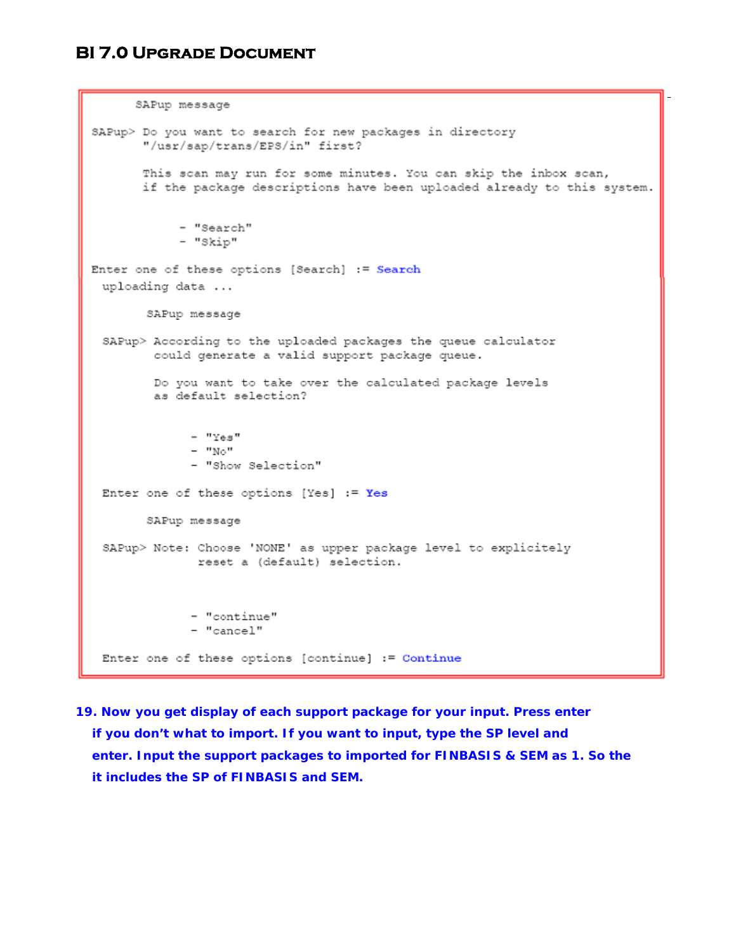```
SAPup message
SAPup> Do you want to search for new packages in directory
       "/usr/sap/trans/EPS/in" first?
      This scan may run for some minutes. You can skip the inbox scan,
       if the package descriptions have been uploaded already to this system.
            - "Search"
            - "Skip"
Enter one of these options [Search] := Search
 uploading data ...
       SAPup message
 SAPup> According to the uploaded packages the queue calculator
        could generate a valid support package queue.
        Do you want to take over the calculated package levels
        as default selection?
             - "Yes"
             - "No"
             - "Show Selection"
 Enter one of these options [Yes] := Yes
       SAPup message
 SAPup> Note: Choose 'NONE' as upper package level to explicitely
              reset a (default) selection.
             - "continue"
             - "cancel"
 Enter one of these options [continue] := Continue
```
**19. Now you get display of each support package for your input. Press enter if you don't what to import. If you want to input, type the SP level and enter. Input the support packages to imported for FINBASIS & SEM as 1. So the it includes the SP of FINBASIS and SEM.**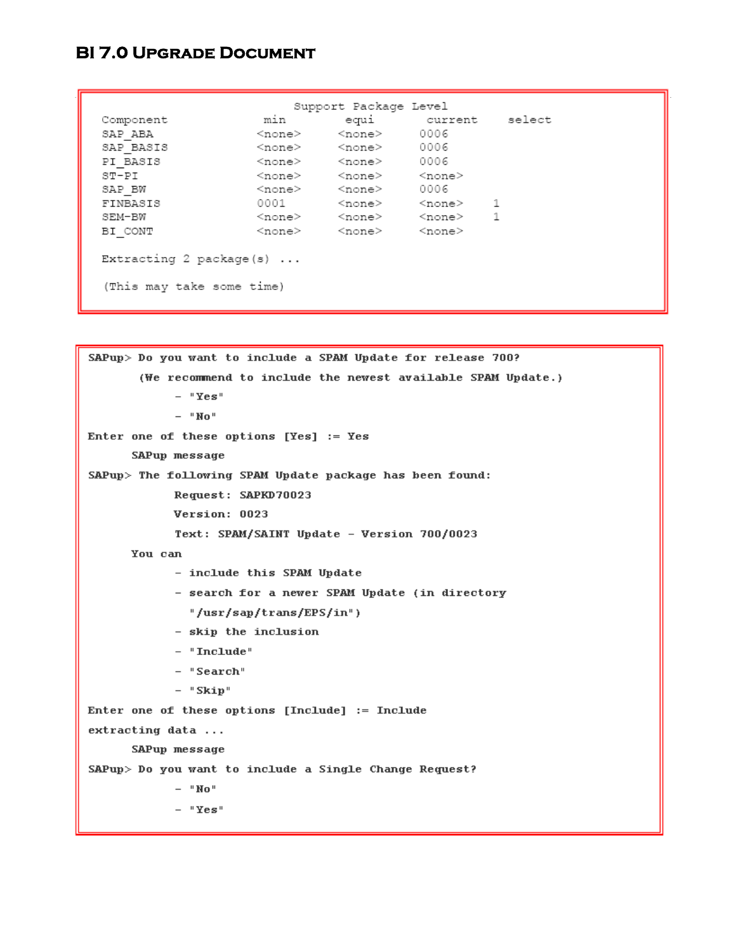| Component | min    |                                                        | equi current select                                                          |  |
|-----------|--------|--------------------------------------------------------|------------------------------------------------------------------------------|--|
| SAP ABA   |        | $\langle$ none $\rangle$ $\langle$ none $\rangle$ 0006 |                                                                              |  |
| SAP BASIS |        | <none> <none> 0006</none></none>                       |                                                                              |  |
| PI BASIS  |        | <none> <none> 0006</none></none>                       |                                                                              |  |
| ST-PI     |        | <none> <none> <none></none></none></none>              |                                                                              |  |
| SAP BW    |        | $<$ none $>$ $<$ none $>$ 0006                         |                                                                              |  |
| FINBASIS  | 0001 - |                                                        | <none> <none> 1</none></none>                                                |  |
| SEM-BW    |        |                                                        | $\langle$ none $\rangle$ $\langle$ none $\rangle$ $\langle$ none $\rangle$ 1 |  |
| BI CONT   |        | <none> <none> <none></none></none></none>              |                                                                              |  |

```
SAPup> Do you want to include a SPAM Update for release 700?
       (We recommend to include the newest available SPAM Update.)
            - "Yes"
            - "No"
Enter one of these options [Yes] := Yes
      SAPup message
SAPup> The following SPAM Update package has been found:
            Request: SAPKD70023
            Version: 0023
            Text: SPAM/SAINT Update - Version 700/0023
      You can
            - include this SPAM Update
            - search for a newer SPAM Update (in directory
              "/usr/sap/trans/EPS/in")
            - skip the inclusion
            - "Include"
            - "Search"
            - "Skip"
Enter one of these options [Include] := Include
extracting data ...
      SAPup message
SAPup> Do you want to include a Single Change Request?
            - "No" \,- "Yes"
```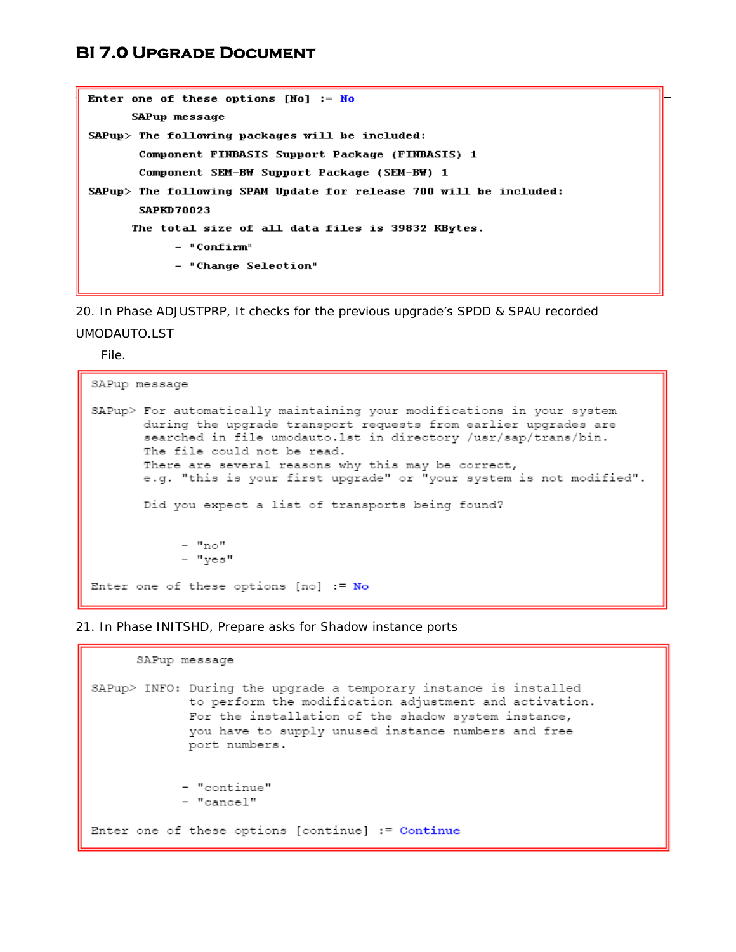```
Enter one of these options [N_0] := N_0SAPup message
SAPup> The following packages will be included:
       Component FINBASIS Support Package (FINBASIS) 1
       Component SEM-BW Support Package (SEM-BW) 1
SAPup> The following SPAM Update for release 700 will be included:
       SAPKD70023
      The total size of all data files is 39832 KBytes.
            - "Confirm"
            - "Change Selection"
```
20. In Phase ADJUSTPRP, It checks for the previous upgrade's SPDD & SPAU recorded UMODAUTO.LST

File.

```
SAPup message
SAPup> For automatically maintaining your modifications in your system
       during the upgrade transport requests from earlier upgrades are
       searched in file umodauto. 1st in directory /usr/sap/trans/bin.
       The file could not be read.
       There are several reasons why this may be correct,
       e.g. "this is your first upgrade" or "your system is not modified".
       Did you expect a list of transports being found?
            - "no"
            - "yes"
Enter one of these options [no] := No
```
21. In Phase INITSHD, Prepare asks for Shadow instance ports

SAPup message SAPup> INFO: During the upgrade a temporary instance is installed to perform the modification adjustment and activation. For the installation of the shadow system instance, you have to supply unused instance numbers and free port numbers. - "continue" - "cancel" Enter one of these options [continue] := Continue